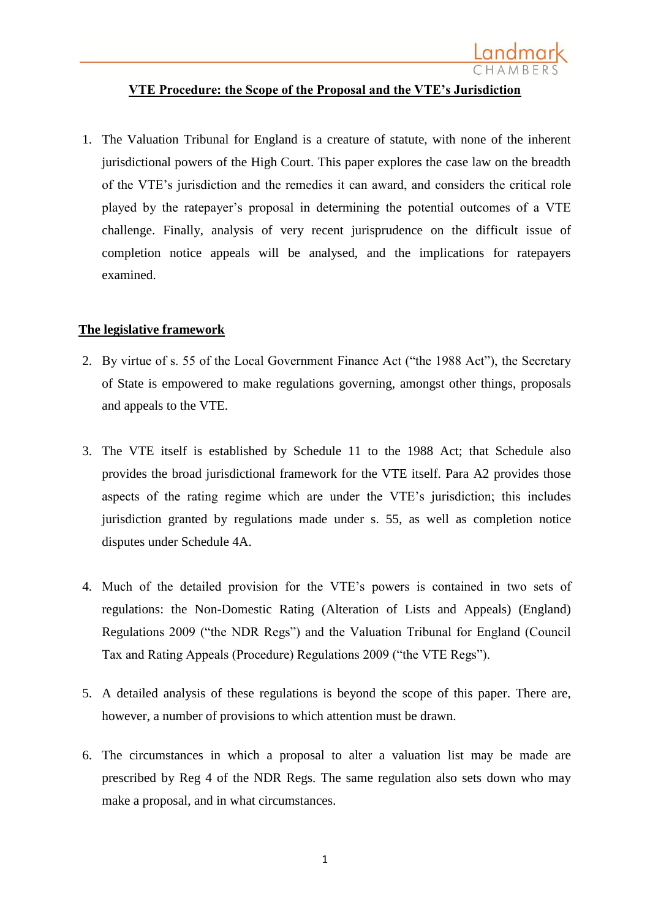

## **VTE Procedure: the Scope of the Proposal and the VTE's Jurisdiction**

1. The Valuation Tribunal for England is a creature of statute, with none of the inherent jurisdictional powers of the High Court. This paper explores the case law on the breadth of the VTE's jurisdiction and the remedies it can award, and considers the critical role played by the ratepayer's proposal in determining the potential outcomes of a VTE challenge. Finally, analysis of very recent jurisprudence on the difficult issue of completion notice appeals will be analysed, and the implications for ratepayers examined.

### **The legislative framework**

- 2. By virtue of s. 55 of the Local Government Finance Act ("the 1988 Act"), the Secretary of State is empowered to make regulations governing, amongst other things, proposals and appeals to the VTE.
- 3. The VTE itself is established by Schedule 11 to the 1988 Act; that Schedule also provides the broad jurisdictional framework for the VTE itself. Para A2 provides those aspects of the rating regime which are under the VTE's jurisdiction; this includes jurisdiction granted by regulations made under s. 55, as well as completion notice disputes under Schedule 4A.
- 4. Much of the detailed provision for the VTE's powers is contained in two sets of regulations: the Non-Domestic Rating (Alteration of Lists and Appeals) (England) Regulations 2009 ("the NDR Regs") and the Valuation Tribunal for England (Council Tax and Rating Appeals (Procedure) Regulations 2009 ("the VTE Regs").
- 5. A detailed analysis of these regulations is beyond the scope of this paper. There are, however, a number of provisions to which attention must be drawn.
- 6. The circumstances in which a proposal to alter a valuation list may be made are prescribed by Reg 4 of the NDR Regs. The same regulation also sets down who may make a proposal, and in what circumstances.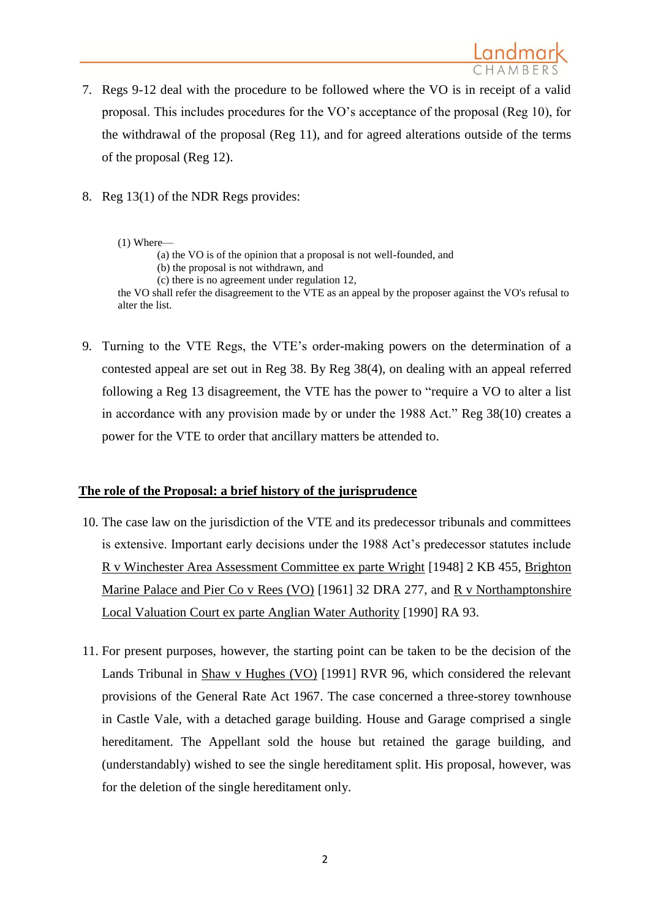- 7. Regs 9-12 deal with the procedure to be followed where the VO is in receipt of a valid proposal. This includes procedures for the VO's acceptance of the proposal (Reg 10), for the withdrawal of the proposal (Reg 11), and for agreed alterations outside of the terms of the proposal (Reg 12).
- 8. Reg 13(1) of the NDR Regs provides:

#### (1) Where—

(a) the VO is of the opinion that a proposal is not well-founded, and (b) the proposal is not withdrawn, and (c) there is no agreement under [regulation 12,](http://login.westlaw.co.uk/maf/wluk/app/document?src=doc&linktype=ref&context=108&crumb-action=replace&docguid=I0A0C5150990111DE97F89727CBD3F5CA) the VO shall refer the disagreement to the VTE as an appeal by the proposer against the VO's refusal to alter the list.

9. Turning to the VTE Regs, the VTE's order-making powers on the determination of a contested appeal are set out in Reg 38. By Reg 38(4), on dealing with an appeal referred following a Reg 13 disagreement, the VTE has the power to "require a VO to alter a list in accordance with any provision made by or under the 1988 Act." Reg 38(10) creates a power for the VTE to order that ancillary matters be attended to.

### **The role of the Proposal: a brief history of the jurisprudence**

- 10. The case law on the jurisdiction of the VTE and its predecessor tribunals and committees is extensive. Important early decisions under the 1988 Act's predecessor statutes include R v Winchester Area Assessment Committee ex parte Wright [1948] 2 KB 455, Brighton Marine Palace and Pier Co v Rees (VO) [1961] 32 DRA 277, and R v Northamptonshire Local Valuation Court ex parte Anglian Water Authority [1990] RA 93.
- 11. For present purposes, however, the starting point can be taken to be the decision of the Lands Tribunal in Shaw v Hughes (VO) [1991] RVR 96, which considered the relevant provisions of the General Rate Act 1967. The case concerned a three-storey townhouse in Castle Vale, with a detached garage building. House and Garage comprised a single hereditament. The Appellant sold the house but retained the garage building, and (understandably) wished to see the single hereditament split. His proposal, however, was for the deletion of the single hereditament only.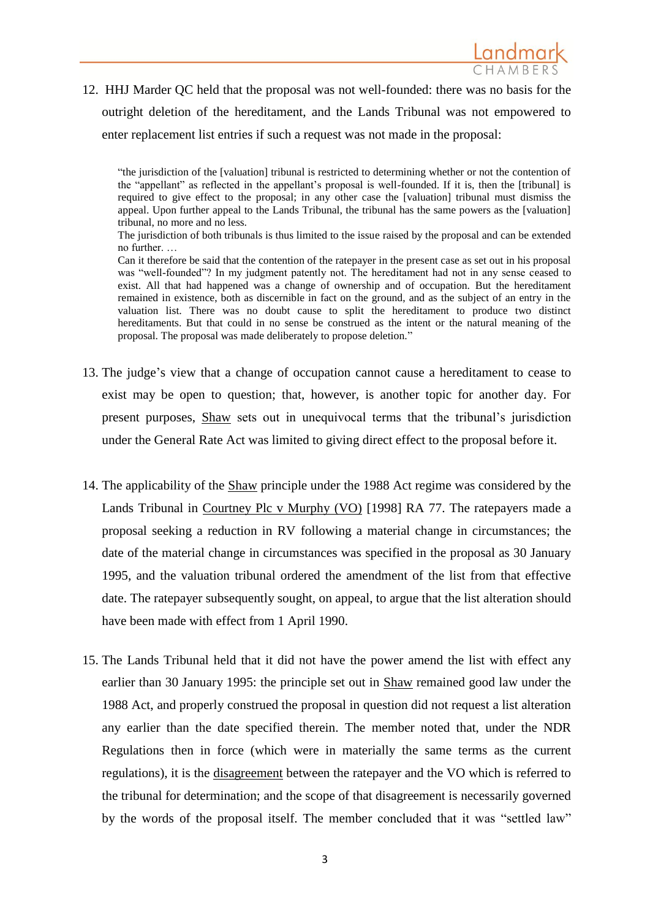

12. HHJ Marder QC held that the proposal was not well-founded: there was no basis for the outright deletion of the hereditament, and the Lands Tribunal was not empowered to enter replacement list entries if such a request was not made in the proposal:

"the jurisdiction of the [valuation] tribunal is restricted to determining whether or not the contention of the "appellant" as reflected in the appellant's proposal is well-founded. If it is, then the [tribunal] is required to give effect to the proposal; in any other case the [valuation] tribunal must dismiss the appeal. Upon further appeal to the Lands Tribunal, the tribunal has the same powers as the [valuation] tribunal, no more and no less.

The jurisdiction of both tribunals is thus limited to the issue raised by the proposal and can be extended no further. …

Can it therefore be said that the contention of the ratepayer in the present case as set out in his proposal was "well-founded"? In my judgment patently not. The hereditament had not in any sense ceased to exist. All that had happened was a change of ownership and of occupation. But the hereditament remained in existence, both as discernible in fact on the ground, and as the subject of an entry in the valuation list. There was no doubt cause to split the hereditament to produce two distinct hereditaments. But that could in no sense be construed as the intent or the natural meaning of the proposal. The proposal was made deliberately to propose deletion."

- 13. The judge's view that a change of occupation cannot cause a hereditament to cease to exist may be open to question; that, however, is another topic for another day. For present purposes, Shaw sets out in unequivocal terms that the tribunal's jurisdiction under the General Rate Act was limited to giving direct effect to the proposal before it.
- 14. The applicability of the Shaw principle under the 1988 Act regime was considered by the Lands Tribunal in Courtney Plc v Murphy (VO) [1998] RA 77. The ratepayers made a proposal seeking a reduction in RV following a material change in circumstances; the date of the material change in circumstances was specified in the proposal as 30 January 1995, and the valuation tribunal ordered the amendment of the list from that effective date. The ratepayer subsequently sought, on appeal, to argue that the list alteration should have been made with effect from 1 April 1990.
- 15. The Lands Tribunal held that it did not have the power amend the list with effect any earlier than 30 January 1995: the principle set out in Shaw remained good law under the 1988 Act, and properly construed the proposal in question did not request a list alteration any earlier than the date specified therein. The member noted that, under the NDR Regulations then in force (which were in materially the same terms as the current regulations), it is the disagreement between the ratepayer and the VO which is referred to the tribunal for determination; and the scope of that disagreement is necessarily governed by the words of the proposal itself. The member concluded that it was "settled law"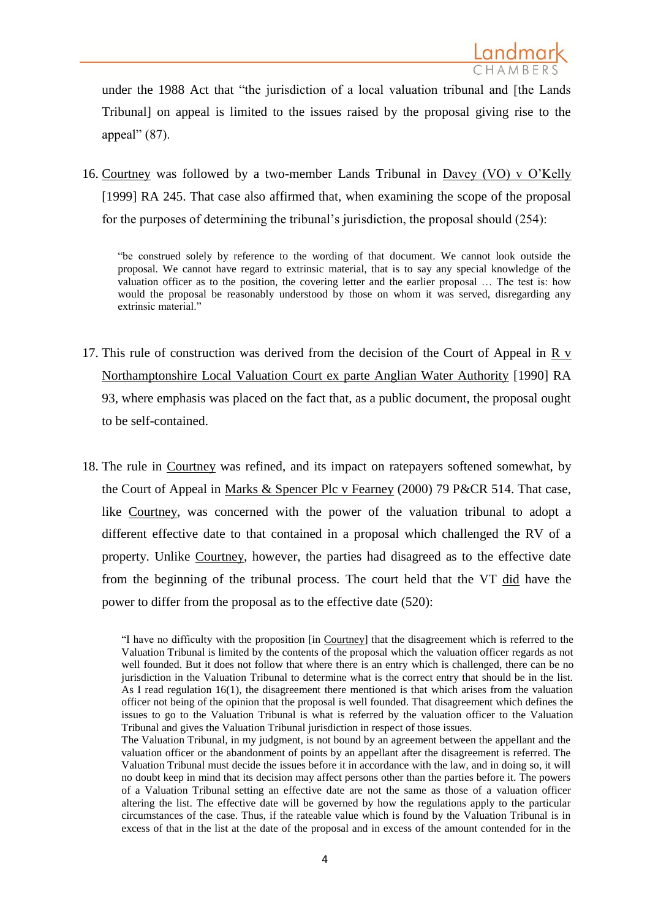under the 1988 Act that "the jurisdiction of a local valuation tribunal and [the Lands Tribunal] on appeal is limited to the issues raised by the proposal giving rise to the appeal" (87).

16. Courtney was followed by a two-member Lands Tribunal in Davey (VO) v O'Kelly [1999] RA 245. That case also affirmed that, when examining the scope of the proposal for the purposes of determining the tribunal's jurisdiction, the proposal should (254):

"be construed solely by reference to the wording of that document. We cannot look outside the proposal. We cannot have regard to extrinsic material, that is to say any special knowledge of the valuation officer as to the position, the covering letter and the earlier proposal … The test is: how would the proposal be reasonably understood by those on whom it was served, disregarding any extrinsic material."

- 17. This rule of construction was derived from the decision of the Court of Appeal in R v Northamptonshire Local Valuation Court ex parte Anglian Water Authority [1990] RA 93, where emphasis was placed on the fact that, as a public document, the proposal ought to be self-contained.
- 18. The rule in Courtney was refined, and its impact on ratepayers softened somewhat, by the Court of Appeal in Marks & Spencer Plc v Fearney (2000) 79 P&CR 514. That case, like Courtney, was concerned with the power of the valuation tribunal to adopt a different effective date to that contained in a proposal which challenged the RV of a property. Unlike Courtney, however, the parties had disagreed as to the effective date from the beginning of the tribunal process. The court held that the VT did have the power to differ from the proposal as to the effective date (520):

<sup>&</sup>quot;I have no difficulty with the proposition [in Courtney] that the disagreement which is referred to the Valuation Tribunal is limited by the contents of the proposal which the valuation officer regards as not well founded. But it does not follow that where there is an entry which is challenged, there can be no jurisdiction in the Valuation Tribunal to determine what is the correct entry that should be in the list. As I read regulation 16(1), the disagreement there mentioned is that which arises from the valuation officer not being of the opinion that the proposal is well founded. That disagreement which defines the issues to go to the Valuation Tribunal is what is referred by the valuation officer to the Valuation Tribunal and gives the Valuation Tribunal jurisdiction in respect of those issues.

The Valuation Tribunal, in my judgment, is not bound by an agreement between the appellant and the valuation officer or the abandonment of points by an appellant after the disagreement is referred. The Valuation Tribunal must decide the issues before it in accordance with the law, and in doing so, it will no doubt keep in mind that its decision may affect persons other than the parties before it. The powers of a Valuation Tribunal setting an effective date are not the same as those of a valuation officer altering the list. The effective date will be governed by how the regulations apply to the particular circumstances of the case. Thus, if the rateable value which is found by the Valuation Tribunal is in excess of that in the list at the date of the proposal and in excess of the amount contended for in the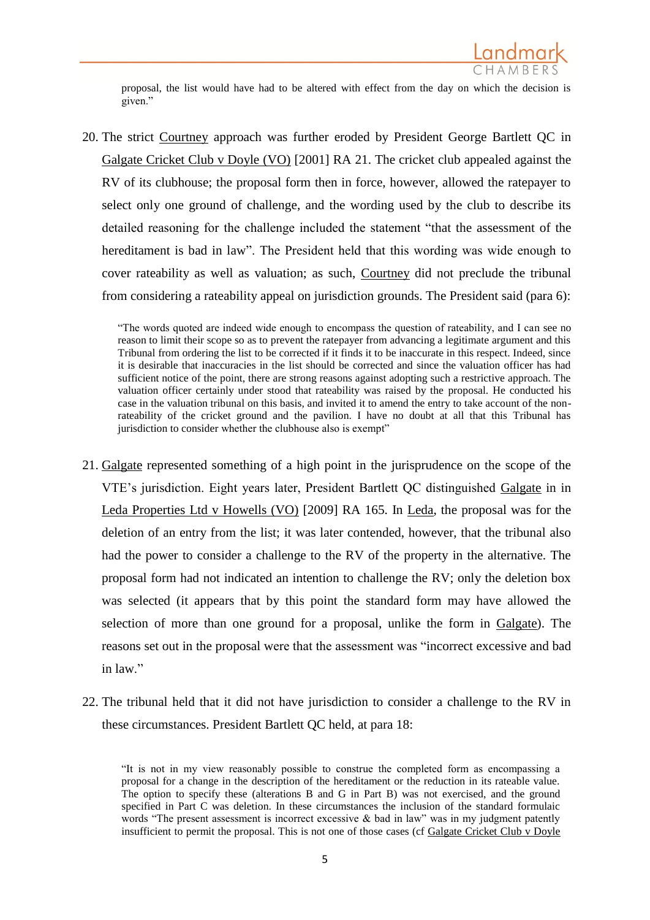

proposal, the list would have had to be altered with effect from the day on which the decision is given."

20. The strict Courtney approach was further eroded by President George Bartlett QC in Galgate Cricket Club v Doyle (VO) [2001] RA 21. The cricket club appealed against the RV of its clubhouse; the proposal form then in force, however, allowed the ratepayer to select only one ground of challenge, and the wording used by the club to describe its detailed reasoning for the challenge included the statement "that the assessment of the hereditament is bad in law". The President held that this wording was wide enough to cover rateability as well as valuation; as such, Courtney did not preclude the tribunal from considering a rateability appeal on jurisdiction grounds. The President said (para 6):

"The words quoted are indeed wide enough to encompass the question of rateability, and I can see no reason to limit their scope so as to prevent the ratepayer from advancing a legitimate argument and this Tribunal from ordering the list to be corrected if it finds it to be inaccurate in this respect. Indeed, since it is desirable that inaccuracies in the list should be corrected and since the valuation officer has had sufficient notice of the point, there are strong reasons against adopting such a restrictive approach. The valuation officer certainly under stood that rateability was raised by the proposal. He conducted his case in the valuation tribunal on this basis, and invited it to amend the entry to take account of the nonrateability of the cricket ground and the pavilion. I have no doubt at all that this Tribunal has jurisdiction to consider whether the clubhouse also is exempt"

- 21. Galgate represented something of a high point in the jurisprudence on the scope of the VTE's jurisdiction. Eight years later, President Bartlett QC distinguished Galgate in in Leda Properties Ltd v Howells (VO) [2009] RA 165. In Leda, the proposal was for the deletion of an entry from the list; it was later contended, however, that the tribunal also had the power to consider a challenge to the RV of the property in the alternative. The proposal form had not indicated an intention to challenge the RV; only the deletion box was selected (it appears that by this point the standard form may have allowed the selection of more than one ground for a proposal, unlike the form in Galgate). The reasons set out in the proposal were that the assessment was "incorrect excessive and bad in law"
- 22. The tribunal held that it did not have jurisdiction to consider a challenge to the RV in these circumstances. President Bartlett QC held, at para 18:

<sup>&</sup>quot;It is not in my view reasonably possible to construe the completed form as encompassing a proposal for a change in the description of the hereditament or the reduction in its rateable value. The option to specify these (alterations B and G in Part B) was not exercised, and the ground specified in Part C was deletion. In these circumstances the inclusion of the standard formulaic words "The present assessment is incorrect excessive & bad in law" was in my judgment patently insufficient to permit the proposal. This is not one of those cases (cf [Galgate Cricket Club v Doyle](http://login.westlaw.co.uk/maf/wluk/ext/app/document?crumb-action=reset&docguid=I61740010E43611DA8FC2A0F0355337E9)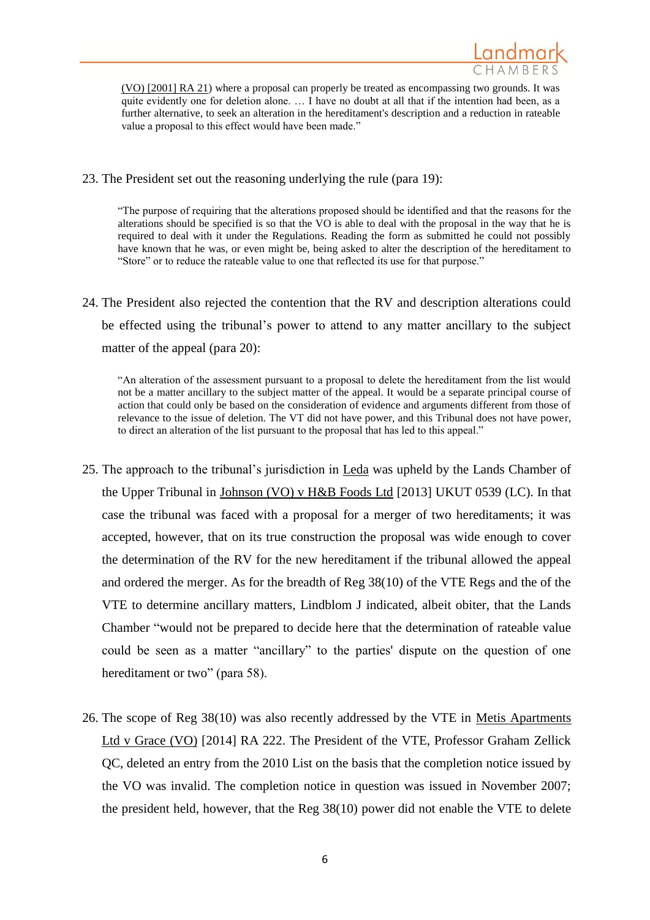

(VO) [2001] RA 21) where a proposal can properly be treated as encompassing two grounds. It was quite evidently one for deletion alone. ... I have no doubt at all that if the intention had been, as a further alternative, to seek an alteration in the hereditament's description and a reduction in rateable value a proposal to this effect would have been made."

23. The President set out the reasoning underlying the rule (para 19):

"The purpose of requiring that the alterations proposed should be identified and that the reasons for the alterations should be specified is so that the VO is able to deal with the proposal in the way that he is required to deal with it under the Regulations. Reading the form as submitted he could not possibly have known that he was, or even might be, being asked to alter the description of the hereditament to "Store" or to reduce the rateable value to one that reflected its use for that purpose."

24. The President also rejected the contention that the RV and description alterations could be effected using the tribunal's power to attend to any matter ancillary to the subject matter of the appeal (para 20):

"An alteration of the assessment pursuant to a proposal to delete the hereditament from the list would not be a matter ancillary to the subject matter of the appeal. It would be a separate principal course of action that could only be based on the consideration of evidence and arguments different from those of relevance to the issue of deletion. The VT did not have power, and this Tribunal does not have power, to direct an alteration of the list pursuant to the proposal that has led to this appeal."

- 25. The approach to the tribunal's jurisdiction in Leda was upheld by the Lands Chamber of the Upper Tribunal in Johnson (VO) v H&B Foods Ltd [2013] UKUT 0539 (LC). In that case the tribunal was faced with a proposal for a merger of two hereditaments; it was accepted, however, that on its true construction the proposal was wide enough to cover the determination of the RV for the new hereditament if the tribunal allowed the appeal and ordered the merger. As for the breadth of Reg 38(10) of the VTE Regs and the of the VTE to determine ancillary matters, Lindblom J indicated, albeit obiter, that the Lands Chamber "would not be prepared to decide here that the determination of rateable value could be seen as a matter "ancillary" to the parties' dispute on the question of one hereditament or two" (para 58).
- 26. The scope of Reg 38(10) was also recently addressed by the VTE in Metis Apartments Ltd v Grace (VO) [2014] RA 222. The President of the VTE, Professor Graham Zellick QC, deleted an entry from the 2010 List on the basis that the completion notice issued by the VO was invalid. The completion notice in question was issued in November 2007; the president held, however, that the Reg 38(10) power did not enable the VTE to delete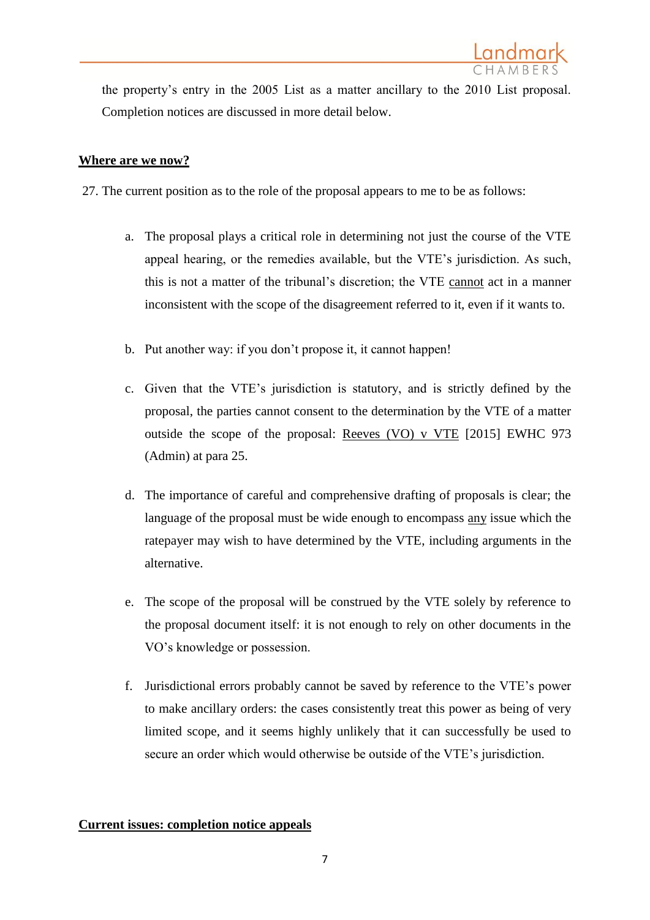the property's entry in the 2005 List as a matter ancillary to the 2010 List proposal. Completion notices are discussed in more detail below.

## **Where are we now?**

- 27. The current position as to the role of the proposal appears to me to be as follows:
	- a. The proposal plays a critical role in determining not just the course of the VTE appeal hearing, or the remedies available, but the VTE's jurisdiction. As such, this is not a matter of the tribunal's discretion; the VTE cannot act in a manner inconsistent with the scope of the disagreement referred to it, even if it wants to.
	- b. Put another way: if you don't propose it, it cannot happen!
	- c. Given that the VTE's jurisdiction is statutory, and is strictly defined by the proposal, the parties cannot consent to the determination by the VTE of a matter outside the scope of the proposal: Reeves (VO) v VTE [2015] EWHC 973 (Admin) at para 25.
	- d. The importance of careful and comprehensive drafting of proposals is clear; the language of the proposal must be wide enough to encompass any issue which the ratepayer may wish to have determined by the VTE, including arguments in the alternative.
	- e. The scope of the proposal will be construed by the VTE solely by reference to the proposal document itself: it is not enough to rely on other documents in the VO's knowledge or possession.
	- f. Jurisdictional errors probably cannot be saved by reference to the VTE's power to make ancillary orders: the cases consistently treat this power as being of very limited scope, and it seems highly unlikely that it can successfully be used to secure an order which would otherwise be outside of the VTE's jurisdiction.

# **Current issues: completion notice appeals**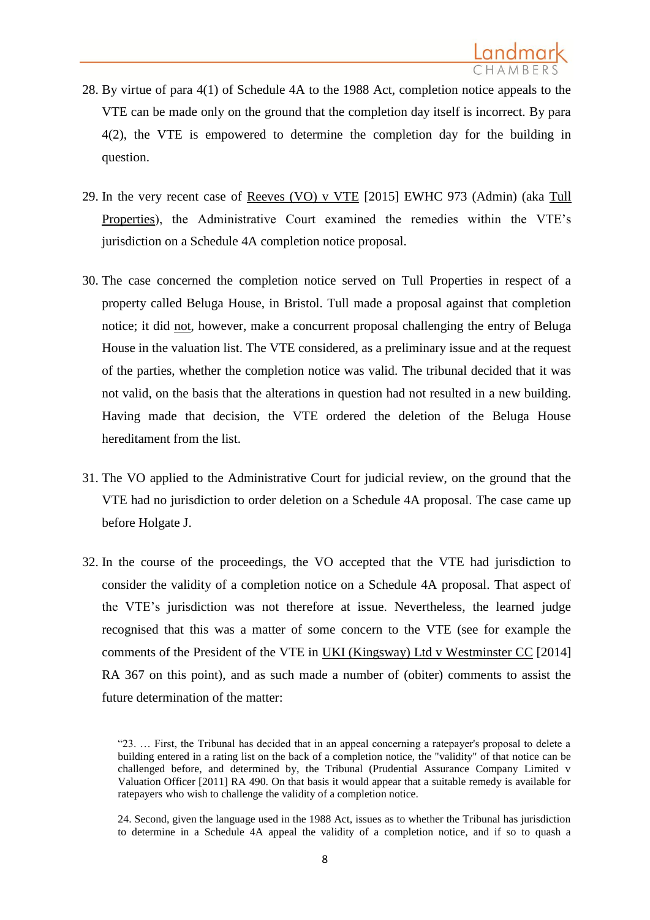- 28. By virtue of para 4(1) of Schedule 4A to the 1988 Act, completion notice appeals to the VTE can be made only on the ground that the completion day itself is incorrect. By para 4(2), the VTE is empowered to determine the completion day for the building in question.
- 29. In the very recent case of Reeves (VO) v VTE [2015] EWHC 973 (Admin) (aka Tull Properties), the Administrative Court examined the remedies within the VTE's jurisdiction on a Schedule 4A completion notice proposal.
- 30. The case concerned the completion notice served on Tull Properties in respect of a property called Beluga House, in Bristol. Tull made a proposal against that completion notice; it did not, however, make a concurrent proposal challenging the entry of Beluga House in the valuation list. The VTE considered, as a preliminary issue and at the request of the parties, whether the completion notice was valid. The tribunal decided that it was not valid, on the basis that the alterations in question had not resulted in a new building. Having made that decision, the VTE ordered the deletion of the Beluga House hereditament from the list.
- 31. The VO applied to the Administrative Court for judicial review, on the ground that the VTE had no jurisdiction to order deletion on a Schedule 4A proposal. The case came up before Holgate J.
- 32. In the course of the proceedings, the VO accepted that the VTE had jurisdiction to consider the validity of a completion notice on a Schedule 4A proposal. That aspect of the VTE's jurisdiction was not therefore at issue. Nevertheless, the learned judge recognised that this was a matter of some concern to the VTE (see for example the comments of the President of the VTE in UKI (Kingsway) Ltd v Westminster CC [2014] RA 367 on this point), and as such made a number of (obiter) comments to assist the future determination of the matter:

<sup>&</sup>quot;23. … First, the Tribunal has decided that in an appeal concerning a ratepayer's proposal to delete a building entered in a rating list on the back of a completion notice, the "validity" of that notice can be challenged before, and determined by, the Tribunal (Prudential Assurance Company Limited v Valuation Officer [2011] RA 490. On that basis it would appear that a suitable remedy is available for ratepayers who wish to challenge the validity of a completion notice.

<sup>24.</sup> Second, given the language used in the 1988 Act, issues as to whether the Tribunal has jurisdiction to determine in a Schedule 4A appeal the validity of a completion notice, and if so to quash a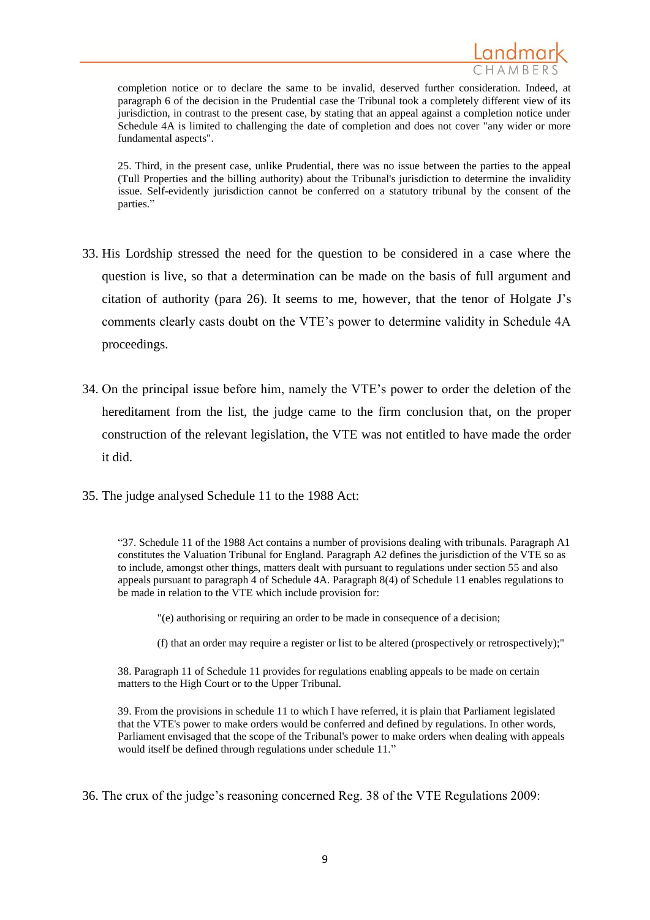

completion notice or to declare the same to be invalid, deserved further consideration. Indeed, at paragraph 6 of the decision in the Prudential case the Tribunal took a completely different view of its jurisdiction, in contrast to the present case, by stating that an appeal against a completion notice under Schedule 4A is limited to challenging the date of completion and does not cover <sup>n</sup>any wider or more fundamental aspects".

25. Third, in the present case, unlike Prudential, there was no issue between the parties to the appeal (Tull Properties and the billing authority) about the Tribunal's jurisdiction to determine the invalidity issue. Self-evidently jurisdiction cannot be conferred on a statutory tribunal by the consent of the parties."

- 33. His Lordship stressed the need for the question to be considered in a case where the question is live, so that a determination can be made on the basis of full argument and citation of authority (para 26). It seems to me, however, that the tenor of Holgate J's comments clearly casts doubt on the VTE's power to determine validity in Schedule 4A proceedings.
- 34. On the principal issue before him, namely the VTE's power to order the deletion of the hereditament from the list, the judge came to the firm conclusion that, on the proper construction of the relevant legislation, the VTE was not entitled to have made the order it did.
- 35. The judge analysed Schedule 11 to the 1988 Act:

"37. Schedule 11 of the 1988 Act contains a number of provisions dealing with tribunals. Paragraph A1 constitutes the Valuation Tribunal for England. Paragraph A2 defines the jurisdiction of the VTE so as to include, amongst other things, matters dealt with pursuant to regulations under section 55 and also appeals pursuant to paragraph 4 of Schedule 4A. Paragraph 8(4) of Schedule 11 enables regulations to be made in relation to the VTE which include provision for:

"(e) authorising or requiring an order to be made in consequence of a decision;

(f) that an order may require a register or list to be altered (prospectively or retrospectively);"

38. Paragraph 11 of Schedule 11 provides for regulations enabling appeals to be made on certain matters to the High Court or to the Upper Tribunal.

39. From the provisions in schedule 11 to which I have referred, it is plain that Parliament legislated that the VTE's power to make orders would be conferred and defined by regulations. In other words, Parliament envisaged that the scope of the Tribunal's power to make orders when dealing with appeals would itself be defined through regulations under schedule 11."

36. The crux of the judge's reasoning concerned Reg. 38 of the VTE Regulations 2009: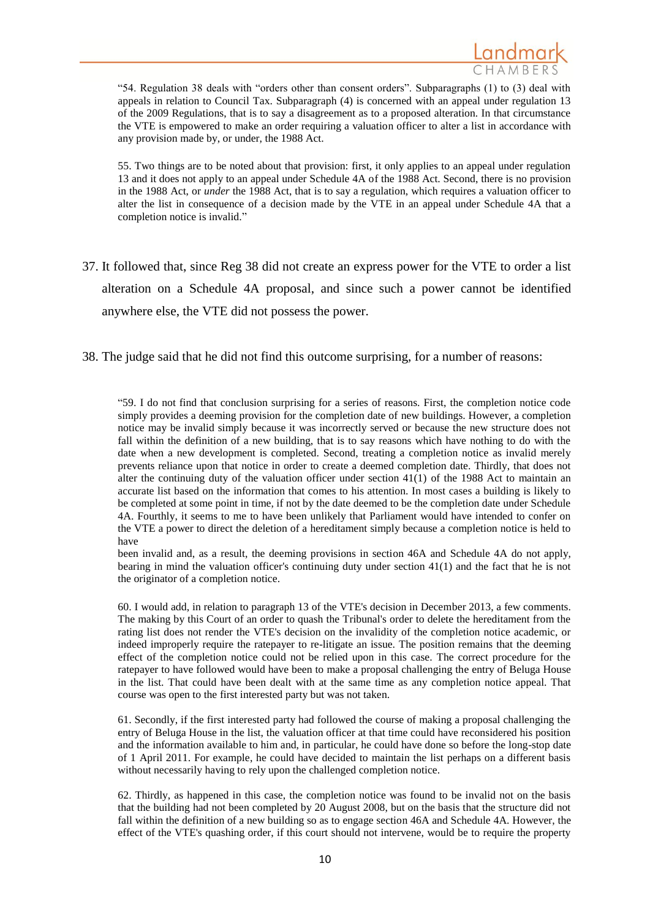

"54. Regulation 38 deals with "orders other than consent orders". Subparagraphs (1) to (3) deal with appeals in relation to Council Tax. Subparagraph (4) is concerned with an appeal under regulation 13 of the 2009 Regulations, that is to say a disagreement as to a proposed alteration. In that circumstance the VTE is empowered to make an order requiring a valuation officer to alter a list in accordance with any provision made by, or under, the 1988 Act.

55. Two things are to be noted about that provision: first, it only applies to an appeal under regulation 13 and it does not apply to an appeal under Schedule 4A of the 1988 Act. Second, there is no provision in the 1988 Act, or *under* the 1988 Act, that is to say a regulation, which requires a valuation officer to alter the list in consequence of a decision made by the VTE in an appeal under Schedule 4A that a completion notice is invalid."

- 37. It followed that, since Reg 38 did not create an express power for the VTE to order a list alteration on a Schedule 4A proposal, and since such a power cannot be identified anywhere else, the VTE did not possess the power.
- 38. The judge said that he did not find this outcome surprising, for a number of reasons:

"59. I do not find that conclusion surprising for a series of reasons. First, the completion notice code simply provides a deeming provision for the completion date of new buildings. However, a completion notice may be invalid simply because it was incorrectly served or because the new structure does not fall within the definition of a new building, that is to say reasons which have nothing to do with the date when a new development is completed. Second, treating a completion notice as invalid merely prevents reliance upon that notice in order to create a deemed completion date. Thirdly, that does not alter the continuing duty of the valuation officer under section 41(1) of the 1988 Act to maintain an accurate list based on the information that comes to his attention. In most cases a building is likely to be completed at some point in time, if not by the date deemed to be the completion date under Schedule 4A. Fourthly, it seems to me to have been unlikely that Parliament would have intended to confer on the VTE a power to direct the deletion of a hereditament simply because a completion notice is held to have

been invalid and, as a result, the deeming provisions in section 46A and Schedule 4A do not apply, bearing in mind the valuation officer's continuing duty under section 41(1) and the fact that he is not the originator of a completion notice.

60. I would add, in relation to paragraph 13 of the VTE's decision in December 2013, a few comments. The making by this Court of an order to quash the Tribunal's order to delete the hereditament from the rating list does not render the VTE's decision on the invalidity of the completion notice academic, or indeed improperly require the ratepayer to re-litigate an issue. The position remains that the deeming effect of the completion notice could not be relied upon in this case. The correct procedure for the ratepayer to have followed would have been to make a proposal challenging the entry of Beluga House in the list. That could have been dealt with at the same time as any completion notice appeal. That course was open to the first interested party but was not taken.

61. Secondly, if the first interested party had followed the course of making a proposal challenging the entry of Beluga House in the list, the valuation officer at that time could have reconsidered his position and the information available to him and, in particular, he could have done so before the long-stop date of 1 April 2011. For example, he could have decided to maintain the list perhaps on a different basis without necessarily having to rely upon the challenged completion notice.

62. Thirdly, as happened in this case, the completion notice was found to be invalid not on the basis that the building had not been completed by 20 August 2008, but on the basis that the structure did not fall within the definition of a new building so as to engage section 46A and Schedule 4A. However, the effect of the VTE's quashing order, if this court should not intervene, would be to require the property